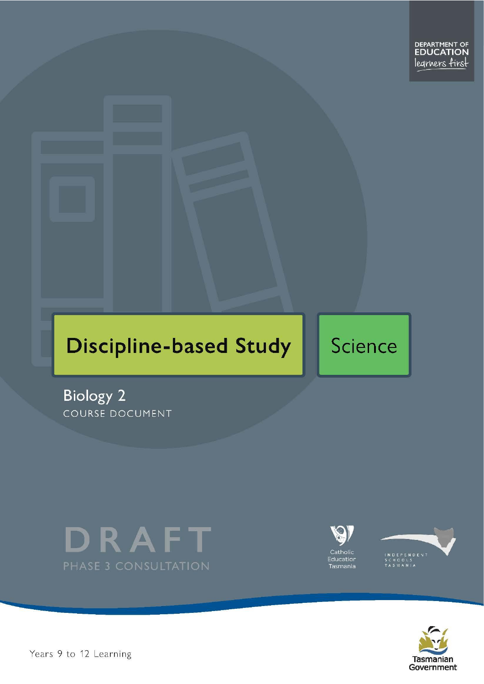

# **Discipline-based Study**

# Science

**Biology 2** COURSE DOCUMENT









Years 9 to 12 Learning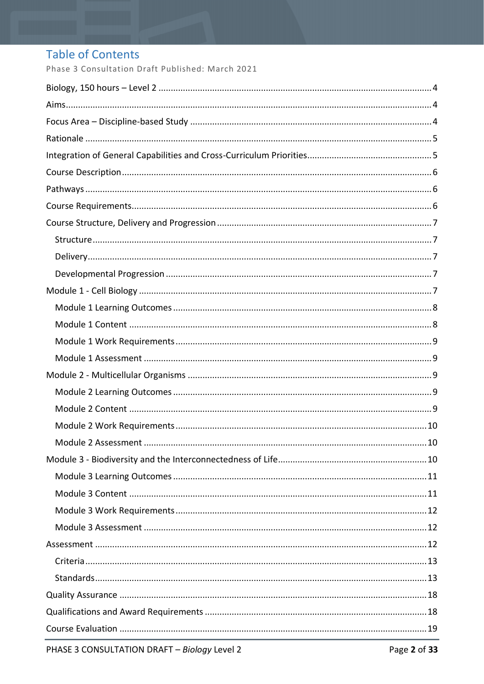# **Table of Contents**

Phase 3 Consultation Draft Published: March 2021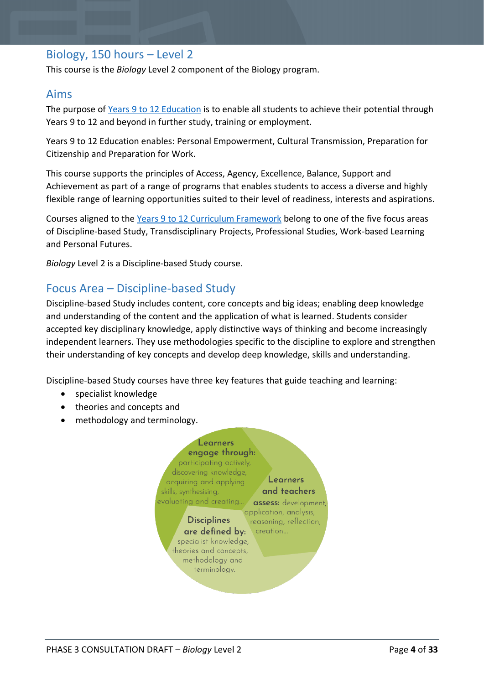# <span id="page-3-0"></span>Biology, 150 hours – Level 2

This course is the *Biology* Level 2 component of the Biology program.

# <span id="page-3-1"></span>Aims

The purpose of Years 9 to 12 [Education](https://publicdocumentcentre.education.tas.gov.au/library/Shared%20Documents/Years-9-to-12-Education-Framework.pdf) is to enable all students to achieve their potential through Years 9 to 12 and beyond in further study, training or employment.

Years 9 to 12 Education enables: Personal Empowerment, Cultural Transmission, Preparation for Citizenship and Preparation for Work.

This course supports the principles of Access, Agency, Excellence, Balance, Support and Achievement as part of a range of programs that enables students to access a diverse and highly flexible range of learning opportunities suited to their level of readiness, interests and aspirations.

Courses aligned to the Years 9 to 12 Curriculum [Framework](https://publicdocumentcentre.education.tas.gov.au/library/Shared%20Documents/Education%209-12%20Frameworks%20A3%20WEB%20POSTER.pdf) belong to one of the five focus areas of Discipline-based Study, Transdisciplinary Projects, Professional Studies, Work-based Learning and Personal Futures.

*Biology* Level 2 is a Discipline-based Study course.

# <span id="page-3-2"></span>Focus Area – Discipline-based Study

Discipline-based Study includes content, core concepts and big ideas; enabling deep knowledge and understanding of the content and the application of what is learned. Students consider accepted key disciplinary knowledge, apply distinctive ways of thinking and become increasingly independent learners. They use methodologies specific to the discipline to explore and strengthen their understanding of key concepts and develop deep knowledge, skills and understanding.

Discipline-based Study courses have three key features that guide teaching and learning:

- specialist knowledge
- theories and concepts and
- methodology and terminology.

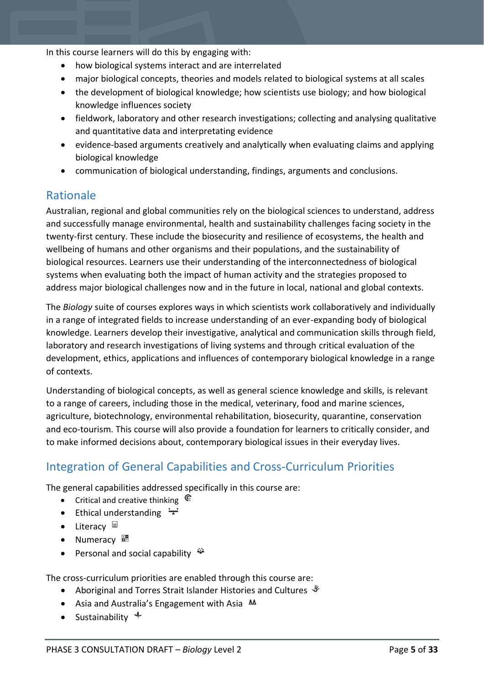In this course learners will do this by engaging with:

- how biological systems interact and are interrelated
- major biological concepts, theories and models related to biological systems at all scales
- the development of biological knowledge; how scientists use biology; and how biological knowledge influences society
- fieldwork, laboratory and other research investigations; collecting and analysing qualitative and quantitative data and interpretating evidence
- evidence-based arguments creatively and analytically when evaluating claims and applying biological knowledge
- communication of biological understanding, findings, arguments and conclusions.

# <span id="page-4-0"></span>Rationale

Australian, regional and global communities rely on the biological sciences to understand, address and successfully manage environmental, health and sustainability challenges facing society in the twenty-first century. These include the biosecurity and resilience of ecosystems, the health and wellbeing of humans and other organisms and their populations, and the sustainability of biological resources. Learners use their understanding of the interconnectedness of biological systems when evaluating both the impact of human activity and the strategies proposed to address major biological challenges now and in the future in local, national and global contexts.

The *Biology* suite of courses explores ways in which scientists work collaboratively and individually in a range of integrated fields to increase understanding of an ever-expanding body of biological knowledge. Learners develop their investigative, analytical and communication skills through field, laboratory and research investigations of living systems and through critical evaluation of the development, ethics, applications and influences of contemporary biological knowledge in a range of contexts.

Understanding of biological concepts, as well as general science knowledge and skills, is relevant to a range of careers, including those in the medical, veterinary, food and marine sciences, agriculture, biotechnology, environmental rehabilitation, biosecurity, quarantine, conservation and eco-tourism. This course will also provide a foundation for learners to critically consider, and to make informed decisions about, contemporary biological issues in their everyday lives.

# <span id="page-4-1"></span>Integration of General Capabilities and Cross-Curriculum Priorities

The general capabilities addressed specifically in this course are:

- Critical and creative thinking  $\mathbb{C}$
- Ethical understanding  $\pm$
- Literacy
- Numeracy
- Personal and social capability  $\ddot{\ddot{\bullet}}$

The cross-curriculum priorities are enabled through this course are:

- Aboriginal and Torres Strait Islander Histories and Cultures  $\mathcal V$
- Asia and Australia's Engagement with Asia AA
- Sustainability  $\triangleq$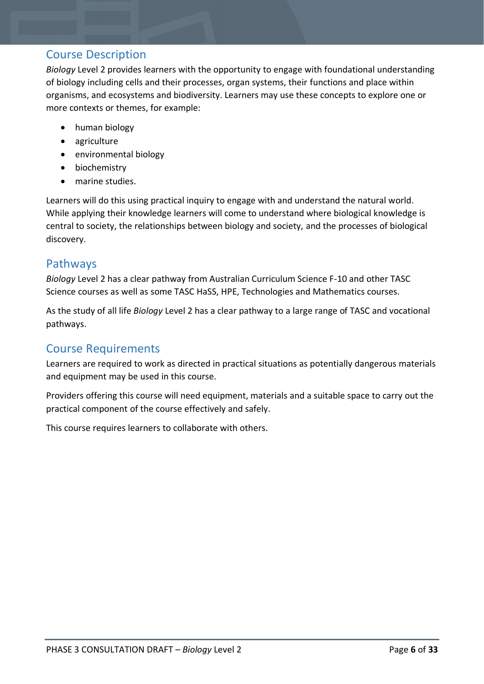# <span id="page-5-0"></span>Course Description

*Biology* Level 2 provides learners with the opportunity to engage with foundational understanding of biology including cells and their processes, organ systems, their functions and place within organisms, and ecosystems and biodiversity. Learners may use these concepts to explore one or more contexts or themes, for example:

- human biology
- agriculture
- environmental biology
- biochemistry
- marine studies.

Learners will do this using practical inquiry to engage with and understand the natural world. While applying their knowledge learners will come to understand where biological knowledge is central to society, the relationships between biology and society, and the processes of biological discovery.

# <span id="page-5-1"></span>Pathways

*Biology* Level 2 has a clear pathway from Australian Curriculum Science F-10 and other TASC Science courses as well as some TASC HaSS, HPE, Technologies and Mathematics courses.

As the study of all life *Biology* Level 2 has a clear pathway to a large range of TASC and vocational pathways.

# <span id="page-5-2"></span>Course Requirements

Learners are required to work as directed in practical situations as potentially dangerous materials and equipment may be used in this course.

Providers offering this course will need equipment, materials and a suitable space to carry out the practical component of the course effectively and safely.

This course requires learners to collaborate with others.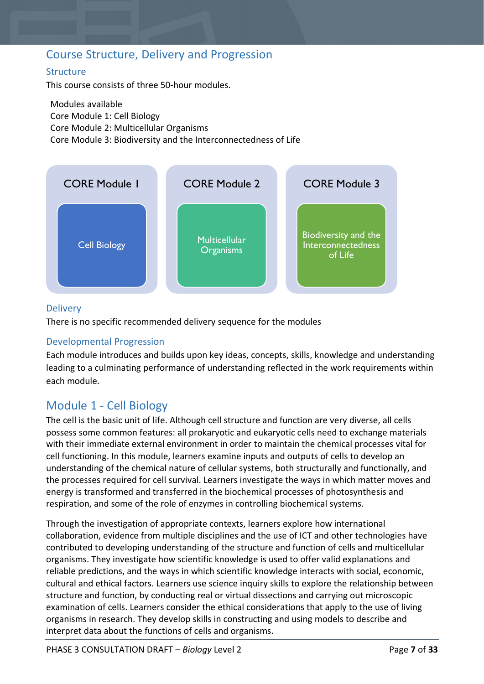# <span id="page-6-0"></span>Course Structure, Delivery and Progression

# <span id="page-6-1"></span>Structure

This course consists of three 50-hour modules.

Modules available Core Module 1: Cell Biology Core Module 2: Multicellular Organisms Core Module 3: Biodiversity and the Interconnectedness of Life



# <span id="page-6-2"></span>**Delivery**

There is no specific recommended delivery sequence for the modules

# <span id="page-6-3"></span>Developmental Progression

Each module introduces and builds upon key ideas, concepts, skills, knowledge and understanding leading to a culminating performance of understanding reflected in the work requirements within each module.

# <span id="page-6-4"></span>Module 1 - Cell Biology

The cell is the basic unit of life. Although cell structure and function are very diverse, all cells possess some common features: all prokaryotic and eukaryotic cells need to exchange materials with their immediate external environment in order to maintain the chemical processes vital for cell functioning. In this module, learners examine inputs and outputs of cells to develop an understanding of the chemical nature of cellular systems, both structurally and functionally, and the processes required for cell survival. Learners investigate the ways in which matter moves and energy is transformed and transferred in the biochemical processes of photosynthesis and respiration, and some of the role of enzymes in controlling biochemical systems.

Through the investigation of appropriate contexts, learners explore how international collaboration, evidence from multiple disciplines and the use of ICT and other technologies have contributed to developing understanding of the structure and function of cells and multicellular organisms. They investigate how scientific knowledge is used to offer valid explanations and reliable predictions, and the ways in which scientific knowledge interacts with social, economic, cultural and ethical factors. Learners use science inquiry skills to explore the relationship between structure and function, by conducting real or virtual dissections and carrying out microscopic examination of cells. Learners consider the ethical considerations that apply to the use of living organisms in research. They develop skills in constructing and using models to describe and interpret data about the functions of cells and organisms.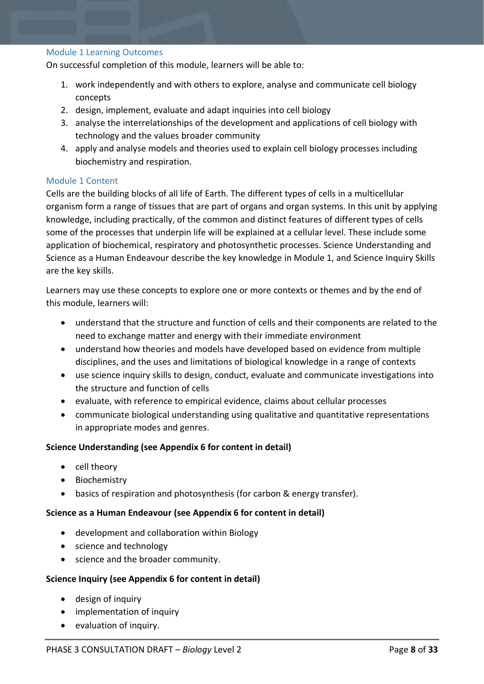#### <span id="page-7-0"></span>Module 1 Learning Outcomes

On successful completion of this module, learners will be able to:

- 1. work independently and with others to explore, analyse and communicate cell biology concepts
- 2. design, implement, evaluate and adapt inquiries into cell biology
- 3. analyse the interrelationships of the development and applications of cell biology with technology and the values broader community
- 4. apply and analyse models and theories used to explain cell biology processes including biochemistry and respiration.

#### <span id="page-7-1"></span>Module 1 Content

Cells are the building blocks of all life of Earth. The different types of cells in a multicellular organism form a range of tissues that are part of organs and organ systems. In this unit by applying knowledge, including practically, of the common and distinct features of different types of cells some of the processes that underpin life will be explained at a cellular level. These include some application of biochemical, respiratory and photosynthetic processes. Science Understanding and Science as a Human Endeavour describe the key knowledge in Module 1, and Science Inquiry Skills are the key skills.

Learners may use these concepts to explore one or more contexts or themes and by the end of this module, learners will:

- understand that the structure and function of cells and their components are related to the need to exchange matter and energy with their immediate environment
- understand how theories and models have developed based on evidence from multiple disciplines, and the uses and limitations of biological knowledge in a range of contexts
- use science inquiry skills to design, conduct, evaluate and communicate investigations into the structure and function of cells
- evaluate, with reference to empirical evidence, claims about cellular processes
- communicate biological understanding using qualitative and quantitative representations in appropriate modes and genres.

#### **Science Understanding (see Appendix 6 for content in detail)**

- cell theory
- Biochemistry
- basics of respiration and photosynthesis (for carbon & energy transfer).

#### **Science as a Human Endeavour (see Appendix 6 for content in detail)**

- development and collaboration within Biology
- science and technology
- science and the broader community.

#### **Science Inquiry (see Appendix 6 for content in detail)**

- design of inquiry
- implementation of inquiry
- evaluation of inquiry.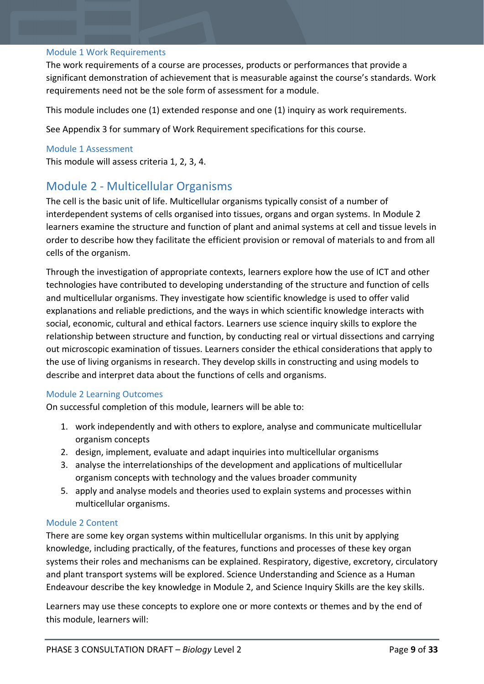#### <span id="page-8-0"></span>Module 1 Work Requirements

The work requirements of a course are processes, products or performances that provide a significant demonstration of achievement that is measurable against the course's standards. Work requirements need not be the sole form of assessment for a module.

This module includes one (1) extended response and one (1) inquiry as work requirements.

See Appendix 3 for summary of Work Requirement specifications for this course.

#### <span id="page-8-1"></span>Module 1 Assessment

This module will assess criteria 1, 2, 3, 4.

# <span id="page-8-2"></span>Module 2 - Multicellular Organisms

The cell is the basic unit of life. Multicellular organisms typically consist of a number of interdependent systems of cells organised into tissues, organs and organ systems. In Module 2 learners examine the structure and function of plant and animal systems at cell and tissue levels in order to describe how they facilitate the efficient provision or removal of materials to and from all cells of the organism.

Through the investigation of appropriate contexts, learners explore how the use of ICT and other technologies have contributed to developing understanding of the structure and function of cells and multicellular organisms. They investigate how scientific knowledge is used to offer valid explanations and reliable predictions, and the ways in which scientific knowledge interacts with social, economic, cultural and ethical factors. Learners use science inquiry skills to explore the relationship between structure and function, by conducting real or virtual dissections and carrying out microscopic examination of tissues. Learners consider the ethical considerations that apply to the use of living organisms in research. They develop skills in constructing and using models to describe and interpret data about the functions of cells and organisms.

#### <span id="page-8-3"></span>Module 2 Learning Outcomes

On successful completion of this module, learners will be able to:

- 1. work independently and with others to explore, analyse and communicate multicellular organism concepts
- 2. design, implement, evaluate and adapt inquiries into multicellular organisms
- 3. analyse the interrelationships of the development and applications of multicellular organism concepts with technology and the values broader community
- 5. apply and analyse models and theories used to explain systems and processes within multicellular organisms.

#### <span id="page-8-4"></span>Module 2 Content

There are some key organ systems within multicellular organisms. In this unit by applying knowledge, including practically, of the features, functions and processes of these key organ systems their roles and mechanisms can be explained. Respiratory, digestive, excretory, circulatory and plant transport systems will be explored. Science Understanding and Science as a Human Endeavour describe the key knowledge in Module 2, and Science Inquiry Skills are the key skills.

Learners may use these concepts to explore one or more contexts or themes and by the end of this module, learners will: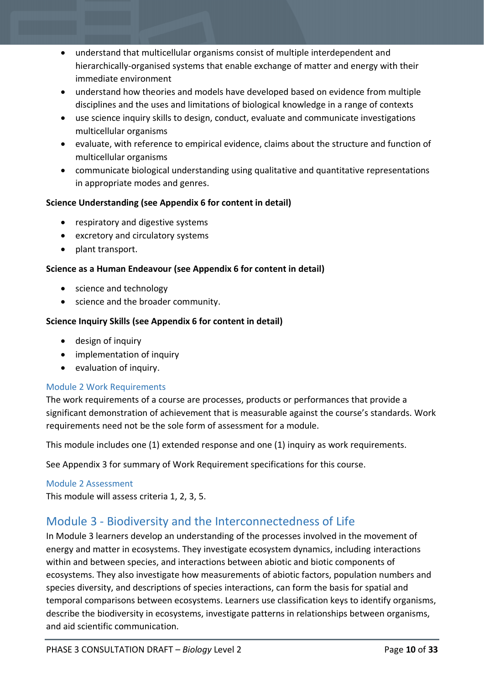- understand that multicellular organisms consist of multiple interdependent and hierarchically-organised systems that enable exchange of matter and energy with their immediate environment
- understand how theories and models have developed based on evidence from multiple disciplines and the uses and limitations of biological knowledge in a range of contexts
- use science inquiry skills to design, conduct, evaluate and communicate investigations multicellular organisms
- evaluate, with reference to empirical evidence, claims about the structure and function of multicellular organisms
- communicate biological understanding using qualitative and quantitative representations in appropriate modes and genres.

# **Science Understanding (see Appendix 6 for content in detail)**

- respiratory and digestive systems
- excretory and circulatory systems
- plant transport.

# **Science as a Human Endeavour (see Appendix 6 for content in detail)**

- science and technology
- science and the broader community.

# **Science Inquiry Skills (see Appendix 6 for content in detail)**

- design of inquiry
- implementation of inquiry
- evaluation of inquiry.

# <span id="page-9-0"></span>Module 2 Work Requirements

The work requirements of a course are processes, products or performances that provide a significant demonstration of achievement that is measurable against the course's standards. Work requirements need not be the sole form of assessment for a module.

This module includes one (1) extended response and one (1) inquiry as work requirements.

See Appendix 3 for summary of Work Requirement specifications for this course.

# <span id="page-9-1"></span>Module 2 Assessment

This module will assess criteria 1, 2, 3, 5.

# <span id="page-9-2"></span>Module 3 - Biodiversity and the Interconnectedness of Life

In Module 3 learners develop an understanding of the processes involved in the movement of energy and matter in ecosystems. They investigate ecosystem dynamics, including interactions within and between species, and interactions between abiotic and biotic components of ecosystems. They also investigate how measurements of abiotic factors, population numbers and species diversity, and descriptions of species interactions, can form the basis for spatial and temporal comparisons between ecosystems. Learners use classification keys to identify organisms, describe the biodiversity in ecosystems, investigate patterns in relationships between organisms, and aid scientific communication.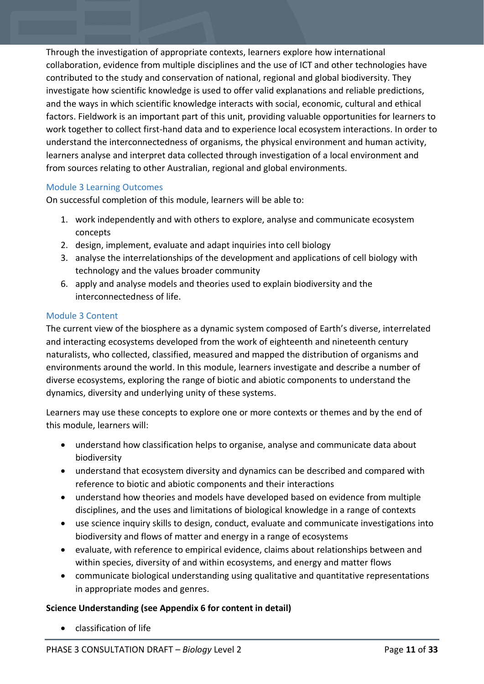Through the investigation of appropriate contexts, learners explore how international collaboration, evidence from multiple disciplines and the use of ICT and other technologies have contributed to the study and conservation of national, regional and global biodiversity. They investigate how scientific knowledge is used to offer valid explanations and reliable predictions, and the ways in which scientific knowledge interacts with social, economic, cultural and ethical factors. Fieldwork is an important part of this unit, providing valuable opportunities for learners to work together to collect first-hand data and to experience local ecosystem interactions. In order to understand the interconnectedness of organisms, the physical environment and human activity, learners analyse and interpret data collected through investigation of a local environment and from sources relating to other Australian, regional and global environments.

# <span id="page-10-0"></span>Module 3 Learning Outcomes

On successful completion of this module, learners will be able to:

- 1. work independently and with others to explore, analyse and communicate ecosystem concepts
- 2. design, implement, evaluate and adapt inquiries into cell biology
- 3. analyse the interrelationships of the development and applications of cell biology with technology and the values broader community
- 6. apply and analyse models and theories used to explain biodiversity and the interconnectedness of life.

# <span id="page-10-1"></span>Module 3 Content

The current view of the biosphere as a dynamic system composed of Earth's diverse, interrelated and interacting ecosystems developed from the work of eighteenth and nineteenth century naturalists, who collected, classified, measured and mapped the distribution of organisms and environments around the world. In this module, learners investigate and describe a number of diverse ecosystems, exploring the range of biotic and abiotic components to understand the dynamics, diversity and underlying unity of these systems.

Learners may use these concepts to explore one or more contexts or themes and by the end of this module, learners will:

- understand how classification helps to organise, analyse and communicate data about biodiversity
- understand that ecosystem diversity and dynamics can be described and compared with reference to biotic and abiotic components and their interactions
- understand how theories and models have developed based on evidence from multiple disciplines, and the uses and limitations of biological knowledge in a range of contexts
- use science inquiry skills to design, conduct, evaluate and communicate investigations into biodiversity and flows of matter and energy in a range of ecosystems
- evaluate, with reference to empirical evidence, claims about relationships between and within species, diversity of and within ecosystems, and energy and matter flows
- communicate biological understanding using qualitative and quantitative representations in appropriate modes and genres.

# **Science Understanding (see Appendix 6 for content in detail)**

• classification of life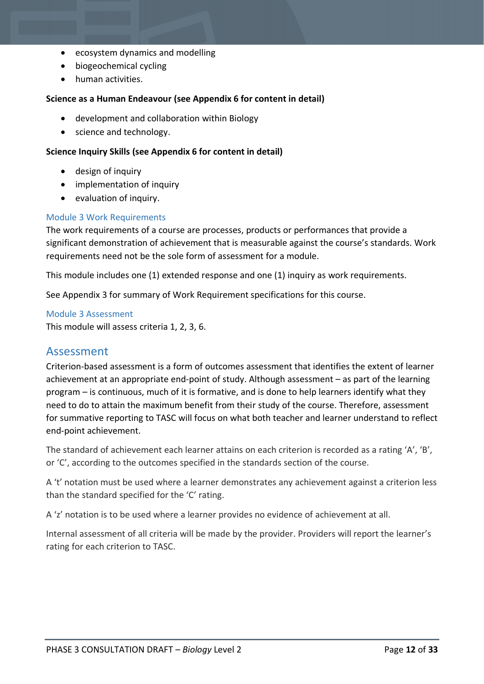- ecosystem dynamics and modelling
- biogeochemical cycling
- human activities.

#### **Science as a Human Endeavour (see Appendix 6 for content in detail)**

- development and collaboration within Biology
- science and technology.

#### **Science Inquiry Skills (see Appendix 6 for content in detail)**

- design of inquiry
- implementation of inquiry
- evaluation of inquiry.

#### <span id="page-11-0"></span>Module 3 Work Requirements

The work requirements of a course are processes, products or performances that provide a significant demonstration of achievement that is measurable against the course's standards. Work requirements need not be the sole form of assessment for a module.

This module includes one (1) extended response and one (1) inquiry as work requirements.

See Appendix 3 for summary of Work Requirement specifications for this course.

#### <span id="page-11-1"></span>Module 3 Assessment

This module will assess criteria 1, 2, 3, 6.

# <span id="page-11-2"></span>Assessment

Criterion-based assessment is a form of outcomes assessment that identifies the extent of learner achievement at an appropriate end-point of study. Although assessment – as part of the learning program – is continuous, much of it is formative, and is done to help learners identify what they need to do to attain the maximum benefit from their study of the course. Therefore, assessment for summative reporting to TASC will focus on what both teacher and learner understand to reflect end-point achievement.

The standard of achievement each learner attains on each criterion is recorded as a rating 'A', 'B', or 'C', according to the outcomes specified in the standards section of the course.

A 't' notation must be used where a learner demonstrates any achievement against a criterion less than the standard specified for the 'C' rating.

A 'z' notation is to be used where a learner provides no evidence of achievement at all.

Internal assessment of all criteria will be made by the provider. Providers will report the learner's rating for each criterion to TASC.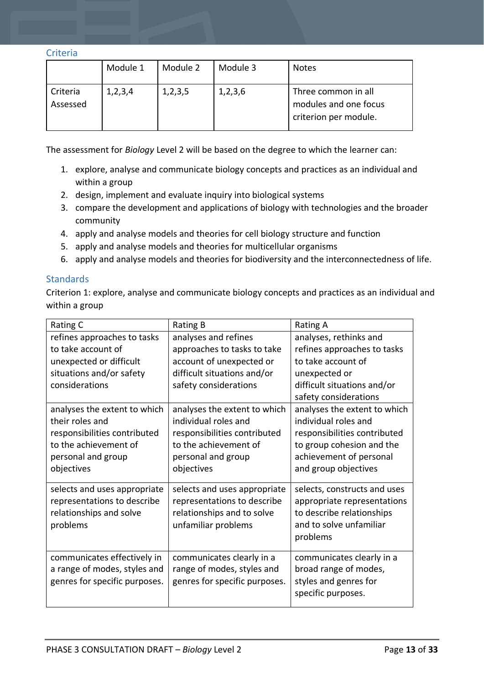<span id="page-12-0"></span>**Criteria** 

|                      | Module 1 | Module 2   | Module 3 | <b>Notes</b>                                                          |
|----------------------|----------|------------|----------|-----------------------------------------------------------------------|
| Criteria<br>Assessed | 1,2,3,4  | 1, 2, 3, 5 | 1,2,3,6  | Three common in all<br>modules and one focus<br>criterion per module. |

The assessment for *Biology* Level 2 will be based on the degree to which the learner can:

- 1. explore, analyse and communicate biology concepts and practices as an individual and within a group
- 2. design, implement and evaluate inquiry into biological systems
- 3. compare the development and applications of biology with technologies and the broader community
- 4. apply and analyse models and theories for cell biology structure and function
- 5. apply and analyse models and theories for multicellular organisms
- 6. apply and analyse models and theories for biodiversity and the interconnectedness of life.

# <span id="page-12-1"></span>**Standards**

Criterion 1: explore, analyse and communicate biology concepts and practices as an individual and within a group

| Rating C                      | Rating B                      | <b>Rating A</b>              |
|-------------------------------|-------------------------------|------------------------------|
| refines approaches to tasks   | analyses and refines          | analyses, rethinks and       |
| to take account of            | approaches to tasks to take   | refines approaches to tasks  |
| unexpected or difficult       | account of unexpected or      | to take account of           |
| situations and/or safety      | difficult situations and/or   | unexpected or                |
| considerations                | safety considerations         | difficult situations and/or  |
|                               |                               | safety considerations        |
| analyses the extent to which  | analyses the extent to which  | analyses the extent to which |
| their roles and               | individual roles and          | individual roles and         |
| responsibilities contributed  | responsibilities contributed  | responsibilities contributed |
| to the achievement of         | to the achievement of         | to group cohesion and the    |
| personal and group            | personal and group            | achievement of personal      |
| objectives                    | objectives                    | and group objectives         |
| selects and uses appropriate  | selects and uses appropriate  | selects, constructs and uses |
| representations to describe   | representations to describe   | appropriate representations  |
| relationships and solve       | relationships and to solve    | to describe relationships    |
| problems                      | unfamiliar problems           | and to solve unfamiliar      |
|                               |                               | problems                     |
|                               |                               |                              |
| communicates effectively in   | communicates clearly in a     | communicates clearly in a    |
| a range of modes, styles and  | range of modes, styles and    | broad range of modes,        |
| genres for specific purposes. | genres for specific purposes. | styles and genres for        |
|                               |                               | specific purposes.           |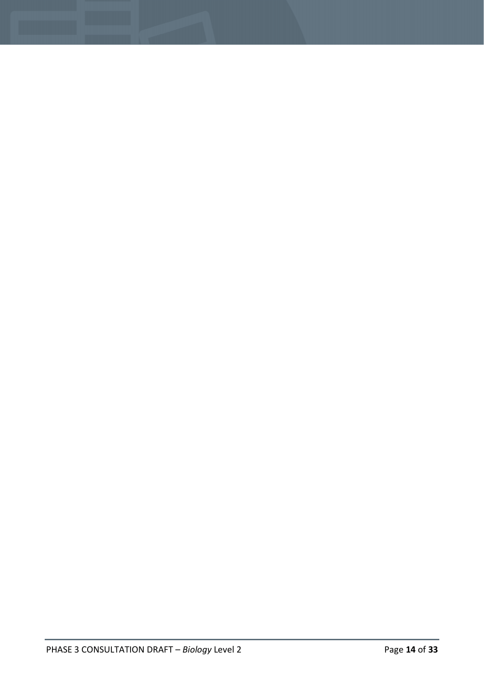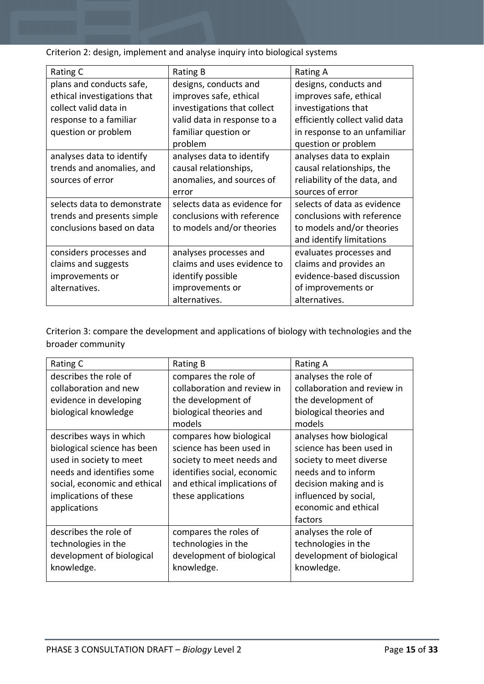Rating C Rating B Rating A plans and conducts safe, ethical investigations that collect valid data in response to a familiar question or problem designs, conducts and improves safe, ethical investigations that collect valid data in response to a familiar question or problem designs, conducts and improves safe, ethical investigations that efficiently collect valid data in response to an unfamiliar question or problem analyses data to identify trends and anomalies, and sources of error analyses data to identify causal relationships, anomalies, and sources of error analyses data to explain causal relationships, the reliability of the data, and sources of error selects data to demonstrate trends and presents simple conclusions based on data selects data as evidence for conclusions with reference to models and/or theories selects of data as evidence conclusions with reference to models and/or theories and identify limitations considers processes and claims and suggests improvements or alternatives. analyses processes and claims and uses evidence to identify possible improvements or alternatives. evaluates processes and claims and provides an evidence-based discussion of improvements or alternatives.

Criterion 2: design, implement and analyse inquiry into biological systems

Criterion 3: compare the development and applications of biology with technologies and the broader community

| Rating C                     | Rating B                    | Rating A                    |
|------------------------------|-----------------------------|-----------------------------|
| describes the role of        | compares the role of        | analyses the role of        |
| collaboration and new        | collaboration and review in | collaboration and review in |
| evidence in developing       | the development of          | the development of          |
| biological knowledge         | biological theories and     | biological theories and     |
|                              | models                      | models                      |
| describes ways in which      | compares how biological     | analyses how biological     |
| biological science has been  | science has been used in    | science has been used in    |
| used in society to meet      | society to meet needs and   | society to meet diverse     |
| needs and identifies some    | identifies social, economic | needs and to inform         |
| social, economic and ethical | and ethical implications of | decision making and is      |
| implications of these        | these applications          | influenced by social,       |
| applications                 |                             | economic and ethical        |
|                              |                             | factors                     |
| describes the role of        | compares the roles of       | analyses the role of        |
| technologies in the          | technologies in the         | technologies in the         |
| development of biological    | development of biological   | development of biological   |
| knowledge.                   | knowledge.                  | knowledge.                  |
|                              |                             |                             |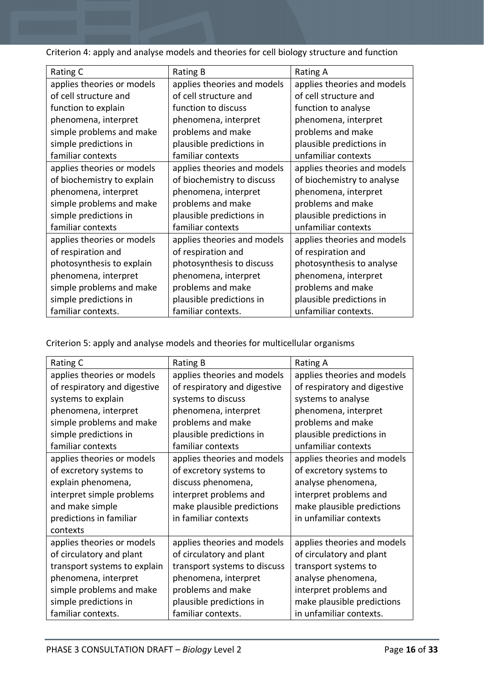| Rating C                   | <b>Rating B</b>             | <b>Rating A</b>             |
|----------------------------|-----------------------------|-----------------------------|
| applies theories or models | applies theories and models | applies theories and models |
| of cell structure and      | of cell structure and       | of cell structure and       |
| function to explain        | function to discuss         | function to analyse         |
| phenomena, interpret       | phenomena, interpret        | phenomena, interpret        |
| simple problems and make   | problems and make           | problems and make           |
| simple predictions in      | plausible predictions in    | plausible predictions in    |
| familiar contexts          | familiar contexts           | unfamiliar contexts         |
| applies theories or models | applies theories and models | applies theories and models |
| of biochemistry to explain | of biochemistry to discuss  | of biochemistry to analyse  |
| phenomena, interpret       | phenomena, interpret        | phenomena, interpret        |
| simple problems and make   | problems and make           | problems and make           |
| simple predictions in      | plausible predictions in    | plausible predictions in    |
| familiar contexts          | familiar contexts           | unfamiliar contexts         |
| applies theories or models | applies theories and models | applies theories and models |
| of respiration and         | of respiration and          | of respiration and          |
| photosynthesis to explain  | photosynthesis to discuss   | photosynthesis to analyse   |
| phenomena, interpret       | phenomena, interpret        | phenomena, interpret        |
| simple problems and make   | problems and make           | problems and make           |
| simple predictions in      | plausible predictions in    | plausible predictions in    |
| familiar contexts.         | familiar contexts.          | unfamiliar contexts.        |

Criterion 4: apply and analyse models and theories for cell biology structure and function

Criterion 5: apply and analyse models and theories for multicellular organisms

| Rating C                     | <b>Rating B</b>              | <b>Rating A</b>              |
|------------------------------|------------------------------|------------------------------|
| applies theories or models   | applies theories and models  | applies theories and models  |
| of respiratory and digestive | of respiratory and digestive | of respiratory and digestive |
| systems to explain           | systems to discuss           | systems to analyse           |
| phenomena, interpret         | phenomena, interpret         | phenomena, interpret         |
| simple problems and make     | problems and make            | problems and make            |
| simple predictions in        | plausible predictions in     | plausible predictions in     |
| familiar contexts            | familiar contexts            | unfamiliar contexts          |
| applies theories or models   | applies theories and models  | applies theories and models  |
| of excretory systems to      | of excretory systems to      | of excretory systems to      |
| explain phenomena,           | discuss phenomena,           | analyse phenomena,           |
| interpret simple problems    | interpret problems and       | interpret problems and       |
| and make simple              | make plausible predictions   | make plausible predictions   |
| predictions in familiar      | in familiar contexts         | in unfamiliar contexts       |
| contexts                     |                              |                              |
| applies theories or models   | applies theories and models  | applies theories and models  |
| of circulatory and plant     | of circulatory and plant     | of circulatory and plant     |
| transport systems to explain | transport systems to discuss | transport systems to         |
| phenomena, interpret         | phenomena, interpret         | analyse phenomena,           |
| simple problems and make     | problems and make            | interpret problems and       |
| simple predictions in        | plausible predictions in     | make plausible predictions   |
| familiar contexts.           | familiar contexts.           | in unfamiliar contexts.      |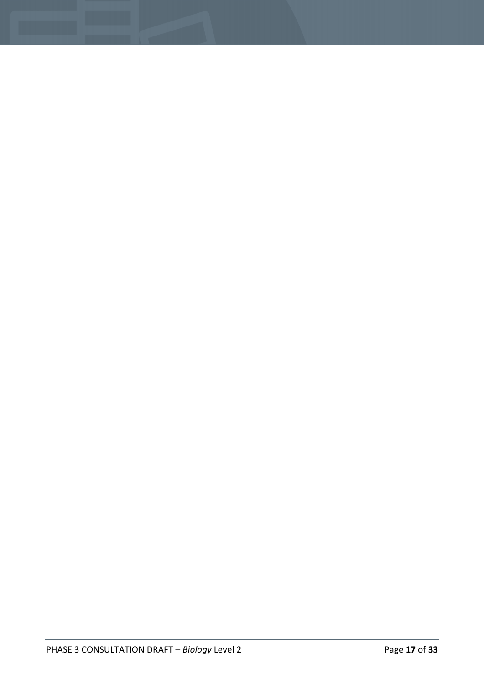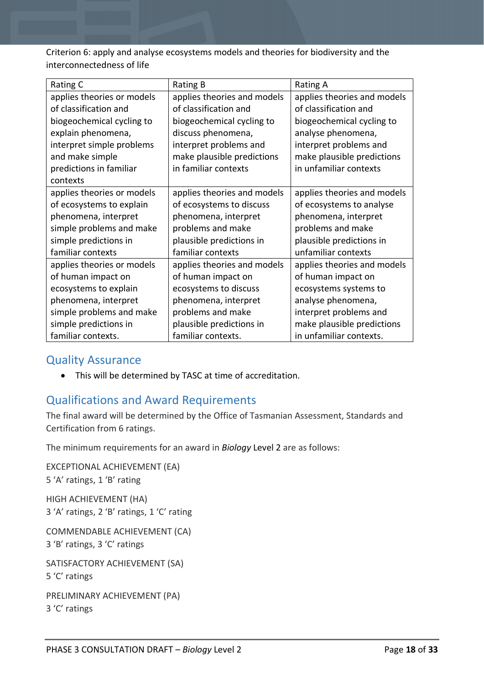Criterion 6: apply and analyse ecosystems models and theories for biodiversity and the interconnectedness of life

| Rating C                   | <b>Rating B</b>             | <b>Rating A</b>             |
|----------------------------|-----------------------------|-----------------------------|
| applies theories or models | applies theories and models | applies theories and models |
| of classification and      | of classification and       | of classification and       |
| biogeochemical cycling to  | biogeochemical cycling to   | biogeochemical cycling to   |
| explain phenomena,         | discuss phenomena,          | analyse phenomena,          |
| interpret simple problems  | interpret problems and      | interpret problems and      |
| and make simple            | make plausible predictions  | make plausible predictions  |
| predictions in familiar    | in familiar contexts        | in unfamiliar contexts      |
| contexts                   |                             |                             |
| applies theories or models | applies theories and models | applies theories and models |
| of ecosystems to explain   | of ecosystems to discuss    | of ecosystems to analyse    |
| phenomena, interpret       | phenomena, interpret        | phenomena, interpret        |
| simple problems and make   | problems and make           | problems and make           |
| simple predictions in      | plausible predictions in    | plausible predictions in    |
| familiar contexts          | familiar contexts           | unfamiliar contexts         |
| applies theories or models | applies theories and models | applies theories and models |
| of human impact on         | of human impact on          | of human impact on          |
| ecosystems to explain      | ecosystems to discuss       | ecosystems systems to       |
| phenomena, interpret       | phenomena, interpret        | analyse phenomena,          |
| simple problems and make   | problems and make           | interpret problems and      |
| simple predictions in      | plausible predictions in    | make plausible predictions  |
| familiar contexts.         | familiar contexts.          | in unfamiliar contexts.     |

# <span id="page-17-0"></span>Quality Assurance

• This will be determined by TASC at time of accreditation.

# <span id="page-17-1"></span>Qualifications and Award Requirements

The final award will be determined by the Office of Tasmanian Assessment, Standards and Certification from 6 ratings.

The minimum requirements for an award in *Biology* Level 2 are as follows:

EXCEPTIONAL ACHIEVEMENT (EA) 5 'A' ratings, 1 'B' rating HIGH ACHIEVEMENT (HA) 3 'A' ratings, 2 'B' ratings, 1 'C' rating COMMENDABLE ACHIEVEMENT (CA) 3 'B' ratings, 3 'C' ratings SATISFACTORY ACHIEVEMENT (SA) 5 'C' ratings PRELIMINARY ACHIEVEMENT (PA)

3 'C' ratings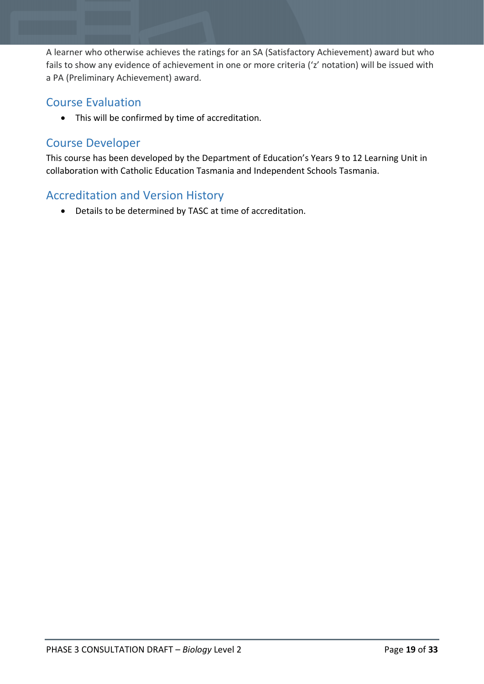A learner who otherwise achieves the ratings for an SA (Satisfactory Achievement) award but who fails to show any evidence of achievement in one or more criteria ('z' notation) will be issued with a PA (Preliminary Achievement) award.

# <span id="page-18-0"></span>Course Evaluation

• This will be confirmed by time of accreditation.

# <span id="page-18-1"></span>Course Developer

This course has been developed by the Department of Education's Years 9 to 12 Learning Unit in collaboration with Catholic Education Tasmania and Independent Schools Tasmania.

# <span id="page-18-2"></span>Accreditation and Version History

• Details to be determined by TASC at time of accreditation.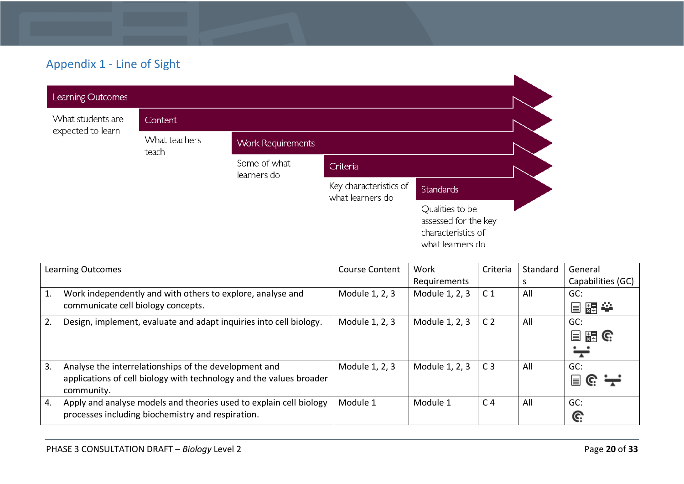# Appendix 1 - Line of Sight

| Learning Outcomes |                        |                             |                                            |                                                                                   |  |
|-------------------|------------------------|-----------------------------|--------------------------------------------|-----------------------------------------------------------------------------------|--|
| What students are | Content                |                             |                                            |                                                                                   |  |
| expected to learn | What teachers<br>teach | <b>Work Requirements</b>    |                                            |                                                                                   |  |
|                   |                        | Some of what<br>learners do | Criteria                                   |                                                                                   |  |
|                   |                        |                             | Key characteristics of<br>what learners do | <b>Standards</b>                                                                  |  |
|                   |                        |                             |                                            | Qualities to be<br>assessed for the key<br>characteristics of<br>what learners do |  |

<span id="page-19-0"></span>

|    | <b>Learning Outcomes</b>                                                                                                | <b>Course Content</b> | Work           | Criteria       | Standard | General                     |
|----|-------------------------------------------------------------------------------------------------------------------------|-----------------------|----------------|----------------|----------|-----------------------------|
|    |                                                                                                                         |                       | Requirements   |                | S        | Capabilities (GC)           |
|    | Work independently and with others to explore, analyse and                                                              | Module 1, 2, 3        | Module 1, 2, 3 | C <sub>1</sub> | All      | GC:                         |
|    | communicate cell biology concepts.                                                                                      |                       |                |                |          | 目陽学                         |
| 2. | Design, implement, evaluate and adapt inquiries into cell biology.                                                      | Module 1, 2, 3        | Module 1, 2, 3 | C <sub>2</sub> | All      | GC:                         |
|    |                                                                                                                         |                       |                |                |          | $\Box$ $\Xi$ $\Theta$       |
|    |                                                                                                                         |                       |                |                |          |                             |
| 3. | Analyse the interrelationships of the development and                                                                   | Module 1, 2, 3        | Module 1, 2, 3 | C <sub>3</sub> | All      | GC:                         |
|    | applications of cell biology with technology and the values broader<br>community.                                       |                       |                |                |          | $\mathbf{r} \in \mathbb{R}$ |
| 4. | Apply and analyse models and theories used to explain cell biology<br>processes including biochemistry and respiration. | Module 1              | Module 1       | C <sub>4</sub> | All      | GC:<br>C:                   |
|    |                                                                                                                         |                       |                |                |          |                             |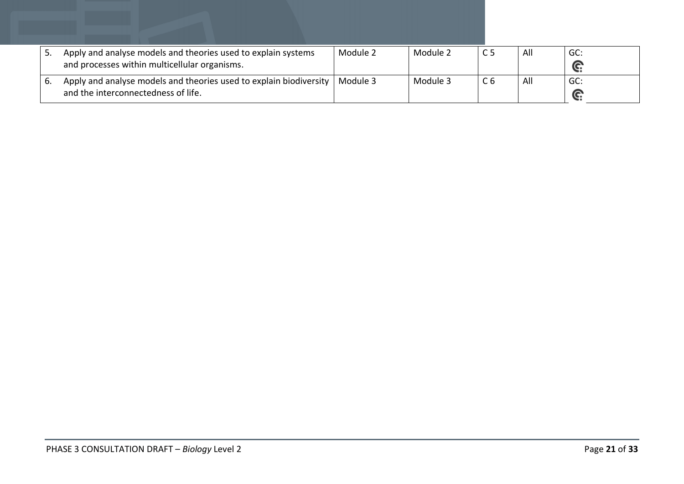|    | Apply and analyse models and theories used to explain systems<br>and processes within multicellular organisms. | Module 2 | Module 2 | C <sub>5</sub> | All | GC:<br>C.     |
|----|----------------------------------------------------------------------------------------------------------------|----------|----------|----------------|-----|---------------|
| O. | Apply and analyse models and theories used to explain biodiversity<br>and the interconnectedness of life.      | Module 3 | Module 3 | C <sub>6</sub> | All | GC:<br>$\sim$ |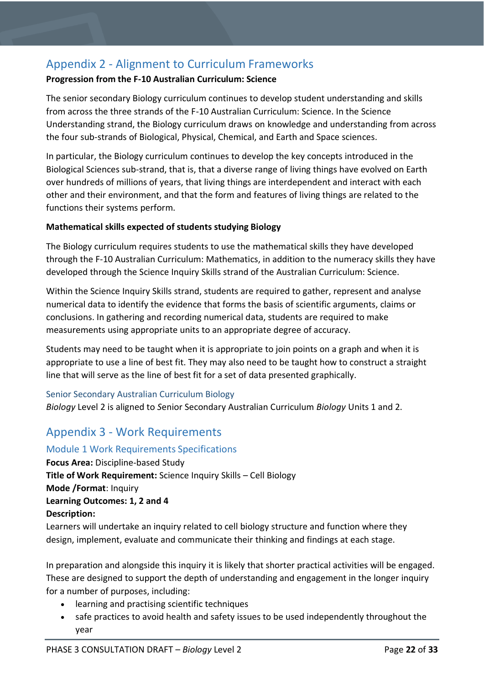# <span id="page-21-0"></span>Appendix 2 - Alignment to Curriculum Frameworks

# **Progression from the F-10 Australian Curriculum: Science**

The senior secondary Biology curriculum continues to develop student understanding and skills from across the three strands of the F-10 Australian Curriculum: Science. In the Science Understanding strand, the Biology curriculum draws on knowledge and understanding from across the four sub-strands of Biological, Physical, Chemical, and Earth and Space sciences.

In particular, the Biology curriculum continues to develop the key concepts introduced in the Biological Sciences sub-strand, that is, that a diverse range of living things have evolved on Earth over hundreds of millions of years, that living things are interdependent and interact with each other and their environment, and that the form and features of living things are related to the functions their systems perform.

# **Mathematical skills expected of students studying Biology**

The Biology curriculum requires students to use the mathematical skills they have developed through the F-10 Australian Curriculum: Mathematics, in addition to the numeracy skills they have developed through the Science Inquiry Skills strand of the Australian Curriculum: Science.

Within the Science Inquiry Skills strand, students are required to gather, represent and analyse numerical data to identify the evidence that forms the basis of scientific arguments, claims or conclusions. In gathering and recording numerical data, students are required to make measurements using appropriate units to an appropriate degree of accuracy.

Students may need to be taught when it is appropriate to join points on a graph and when it is appropriate to use a line of best fit. They may also need to be taught how to construct a straight line that will serve as the line of best fit for a set of data presented graphically.

# <span id="page-21-1"></span>Senior Secondary Australian Curriculum Biology

*Biology* Level 2 is aligned to *S*enior Secondary Australian Curriculum *Biology* Units 1 and 2.

# <span id="page-21-2"></span>Appendix 3 - Work Requirements

<span id="page-21-3"></span>Module 1 Work Requirements Specifications **Focus Area:** Discipline-based Study **Title of Work Requirement:** Science Inquiry Skills – Cell Biology **Mode /Format**: Inquiry **Learning Outcomes: 1, 2 and 4 Description:** 

Learners will undertake an inquiry related to cell biology structure and function where they design, implement, evaluate and communicate their thinking and findings at each stage.

In preparation and alongside this inquiry it is likely that shorter practical activities will be engaged. These are designed to support the depth of understanding and engagement in the longer inquiry for a number of purposes, including:

- learning and practising scientific techniques
- safe practices to avoid health and safety issues to be used independently throughout the year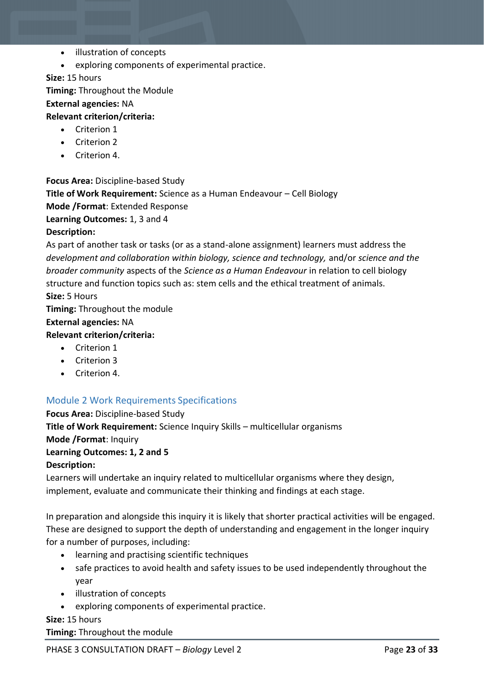- illustration of concepts
- exploring components of experimental practice.

## **Size:** 15 hours

**Timing:** Throughout the Module

## **External agencies:** NA

**Relevant criterion/criteria:**

- Criterion 1
- Criterion 2
- Criterion 4.

# **Focus Area:** Discipline-based Study

**Title of Work Requirement:** Science as a Human Endeavour – Cell Biology **Mode /Format**: Extended Response

**Learning Outcomes:** 1, 3 and 4

# **Description:**

As part of another task or tasks (or as a stand-alone assignment) learners must address the *development and collaboration within biology, science and technology,* and/or *science and the broader community* aspects of the *Science as a Human Endeavour* in relation to cell biology structure and function topics such as: stem cells and the ethical treatment of animals. **Size:** 5 Hours

**Timing:** Throughout the module

#### **External agencies:** NA

# **Relevant criterion/criteria:**

- Criterion 1
- Criterion 3
- Criterion 4.

# <span id="page-22-0"></span>Module 2 Work Requirements Specifications

**Focus Area:** Discipline-based Study **Title of Work Requirement:** Science Inquiry Skills – multicellular organisms **Mode /Format**: Inquiry **Learning Outcomes: 1, 2 and 5 Description:**

# Learners will undertake an inquiry related to multicellular organisms where they design,

implement, evaluate and communicate their thinking and findings at each stage.

In preparation and alongside this inquiry it is likely that shorter practical activities will be engaged. These are designed to support the depth of understanding and engagement in the longer inquiry for a number of purposes, including:

- learning and practising scientific techniques
- safe practices to avoid health and safety issues to be used independently throughout the year
- illustration of concepts
- exploring components of experimental practice.

# **Size:** 15 hours

**Timing:** Throughout the module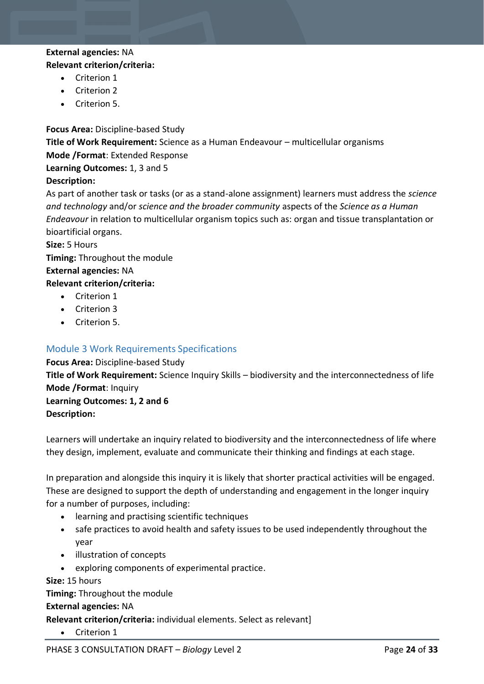# **External agencies:** NA **Relevant criterion/criteria:**

- Criterion 1
- Criterion 2
- Criterion 5.

**Focus Area:** Discipline-based Study **Title of Work Requirement:** Science as a Human Endeavour – multicellular organisms **Mode /Format**: Extended Response **Learning Outcomes:** 1, 3 and 5 **Description:**

As part of another task or tasks (or as a stand-alone assignment) learners must address the *science and technology* and/or *science and the broader community* aspects of the *Science as a Human Endeavour* in relation to multicellular organism topics such as: organ and tissue transplantation or bioartificial organs.

**Size:** 5 Hours

**Timing:** Throughout the module

# **External agencies:** NA

**Relevant criterion/criteria:**

- Criterion 1
- Criterion 3
- Criterion 5.

# <span id="page-23-0"></span>Module 3 Work Requirements Specifications

**Focus Area:** Discipline-based Study **Title of Work Requirement:** Science Inquiry Skills – biodiversity and the interconnectedness of life **Mode /Format**: Inquiry **Learning Outcomes: 1, 2 and 6 Description:** 

Learners will undertake an inquiry related to biodiversity and the interconnectedness of life where they design, implement, evaluate and communicate their thinking and findings at each stage.

In preparation and alongside this inquiry it is likely that shorter practical activities will be engaged. These are designed to support the depth of understanding and engagement in the longer inquiry for a number of purposes, including:

- learning and practising scientific techniques
- safe practices to avoid health and safety issues to be used independently throughout the year
- illustration of concepts
- exploring components of experimental practice.

# **Size:** 15 hours

**Timing:** Throughout the module

# **External agencies:** NA

**Relevant criterion/criteria:** individual elements. Select as relevant]

• Criterion 1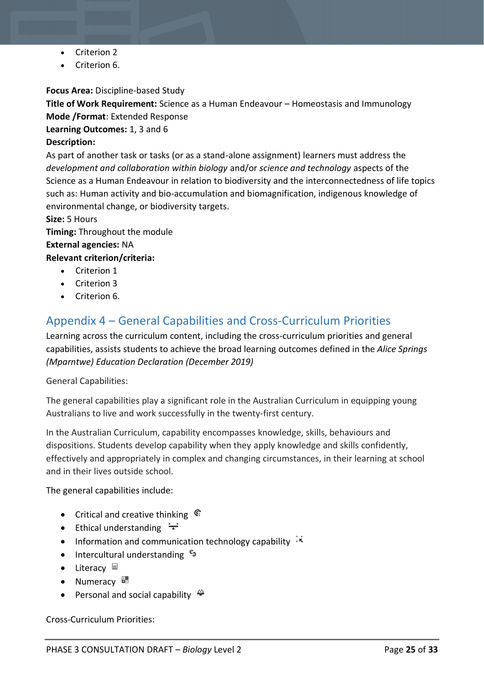- Criterion 2
- Criterion 6.

#### **Focus Area:** Discipline-based Study

**Title of Work Requirement:** Science as a Human Endeavour – Homeostasis and Immunology **Mode /Format**: Extended Response

**Learning Outcomes:** 1, 3 and 6

#### **Description:**

As part of another task or tasks (or as a stand-alone assignment) learners must address the *development and collaboration within biology* and/or *science and technology* aspects of the Science as a Human Endeavour in relation to biodiversity and the interconnectedness of life topics such as: Human activity and bio-accumulation and biomagnification, indigenous knowledge of environmental change, or biodiversity targets.

**Size:** 5 Hours

**Timing:** Throughout the module **External agencies:** NA

**Relevant criterion/criteria:**

- Criterion 1
- Criterion 3
- Criterion 6.

# <span id="page-24-0"></span>Appendix 4 – General Capabilities and Cross-Curriculum Priorities

Learning across the curriculum content, including the cross-curriculum priorities and general capabilities, assists students to achieve the broad learning outcomes defined in the *Alice Springs (Mparntwe) Education Declaration (December 2019)*

#### General Capabilities:

The general capabilities play a significant role in the Australian Curriculum in equipping young Australians to live and work successfully in the twenty-first century.

In the Australian Curriculum, capability encompasses knowledge, skills, behaviours and dispositions. Students develop capability when they apply knowledge and skills confidently, effectively and appropriately in complex and changing circumstances, in their learning at school and in their lives outside school.

The general capabilities include:

- Critical and creative thinking  $\mathbb{C}$
- Ethical understanding  $\pm$
- Information and communication technology capability  $\cdot \dot{\mathbf{k}}$
- Intercultural understanding  $\mathfrak{s}_3$
- Literacy
- Numeracy 图
- Personal and social capability  $\triangleq$

Cross-Curriculum Priorities: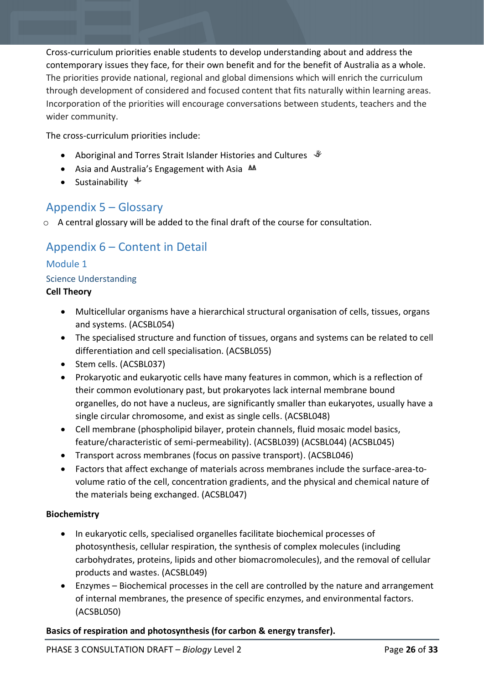Cross-curriculum priorities enable students to develop understanding about and address the contemporary issues they face, for their own benefit and for the benefit of Australia as a whole. The priorities provide national, regional and global dimensions which will enrich the curriculum through development of considered and focused content that fits naturally within learning areas. Incorporation of the priorities will encourage conversations between students, teachers and the wider community.

The cross-curriculum priorities include:

- Aboriginal and Torres Strait Islander Histories and Cultures  $\mathcal V$
- Asia and Australia's Engagement with Asia  $AM$
- Sustainability  $\triangleq$

# <span id="page-25-0"></span>Appendix 5 – Glossary

o A central glossary will be added to the final draft of the course for consultation.

# <span id="page-25-1"></span>Appendix 6 – Content in Detail

# <span id="page-25-3"></span><span id="page-25-2"></span>Module 1 Science Understanding **Cell Theory**

# • Multicellular organisms have a hierarchical structural organisation of cells, tissues, organs and systems. (ACSBL054)

- The specialised structure and function of tissues, organs and systems can be related to cell differentiation and cell specialisation. (ACSBL055)
- Stem cells. (ACSBL037)
- Prokaryotic and eukaryotic cells have many features in common, which is a reflection of their common evolutionary past, but prokaryotes lack internal membrane bound organelles, do not have a nucleus, are significantly smaller than eukaryotes, usually have a single circular chromosome, and exist as single cells. (ACSBL048)
- Cell membrane (phospholipid bilayer, protein channels, fluid mosaic model basics, feature/characteristic of semi-permeability). (ACSBL039) (ACSBL044) (ACSBL045)
- Transport across membranes (focus on passive transport). (ACSBL046)
- Factors that affect exchange of materials across membranes include the surface-area-tovolume ratio of the cell, concentration gradients, and the physical and chemical nature of the materials being exchanged. (ACSBL047)

# **Biochemistry**

- In eukaryotic cells, specialised organelles facilitate biochemical processes of photosynthesis, cellular respiration, the synthesis of complex molecules (including carbohydrates, proteins, lipids and other biomacromolecules), and the removal of cellular products and wastes. (ACSBL049)
- Enzymes Biochemical processes in the cell are controlled by the nature and arrangement of internal membranes, the presence of specific enzymes, and environmental factors. (ACSBL050)

# **Basics of respiration and photosynthesis (for carbon & energy transfer).**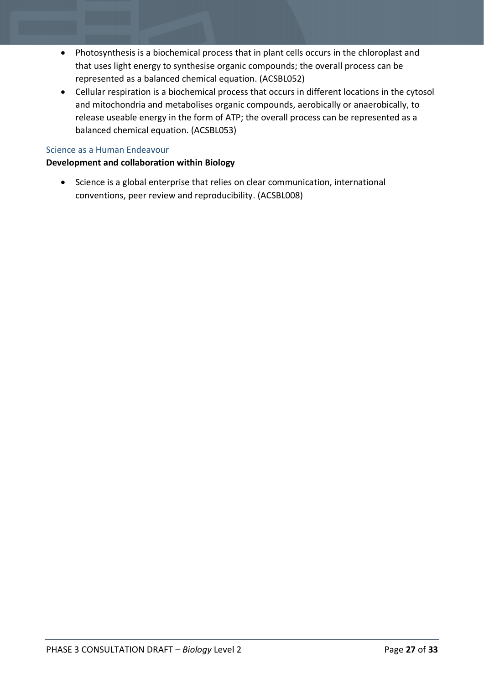- Photosynthesis is a biochemical process that in plant cells occurs in the chloroplast and that uses light energy to synthesise organic compounds; the overall process can be represented as a balanced chemical equation. (ACSBL052)
- Cellular respiration is a biochemical process that occurs in different locations in the cytosol and mitochondria and metabolises organic compounds, aerobically or anaerobically, to release useable energy in the form of ATP; the overall process can be represented as a balanced chemical equation. (ACSBL053)

## <span id="page-26-0"></span>Science as a Human Endeavour

#### **Development and collaboration within Biology**

• Science is a global enterprise that relies on clear communication, international conventions, peer review and reproducibility. (ACSBL008)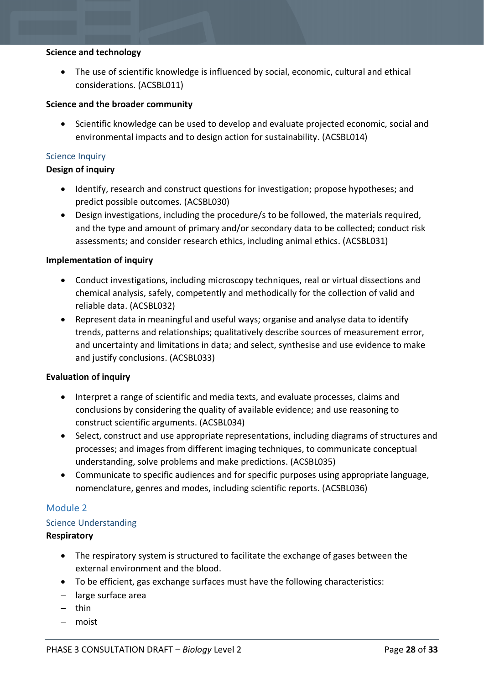#### **Science and technology**

• The use of scientific knowledge is influenced by social, economic, cultural and ethical considerations. (ACSBL011)

#### **Science and the broader community**

• Scientific knowledge can be used to develop and evaluate projected economic, social and environmental impacts and to design action for sustainability. (ACSBL014)

#### <span id="page-27-0"></span>Science Inquiry

#### **Design of inquiry**

- Identify, research and construct questions for investigation; propose hypotheses; and predict possible outcomes. (ACSBL030)
- Design investigations, including the procedure/s to be followed, the materials required, and the type and amount of primary and/or secondary data to be collected; conduct risk assessments; and consider research ethics, including animal ethics. (ACSBL031)

#### **Implementation of inquiry**

- Conduct investigations, including microscopy techniques, real or virtual dissections and chemical analysis, safely, competently and methodically for the collection of valid and reliable data. (ACSBL032)
- Represent data in meaningful and useful ways; organise and analyse data to identify trends, patterns and relationships; qualitatively describe sources of measurement error, and uncertainty and limitations in data; and select, synthesise and use evidence to make and justify conclusions. (ACSBL033)

#### **Evaluation of inquiry**

- Interpret a range of scientific and media texts, and evaluate processes, claims and conclusions by considering the quality of available evidence; and use reasoning to construct scientific arguments. (ACSBL034)
- Select, construct and use appropriate representations, including diagrams of structures and processes; and images from different imaging techniques, to communicate conceptual understanding, solve problems and make predictions. (ACSBL035)
- Communicate to specific audiences and for specific purposes using appropriate language, nomenclature, genres and modes, including scientific reports. (ACSBL036)

# <span id="page-27-1"></span>Module 2

#### <span id="page-27-2"></span>Science Understanding

#### **Respiratory**

- The respiratory system is structured to facilitate the exchange of gases between the external environment and the blood.
- To be efficient, gas exchange surfaces must have the following characteristics:
- − large surface area
- − thin
- − moist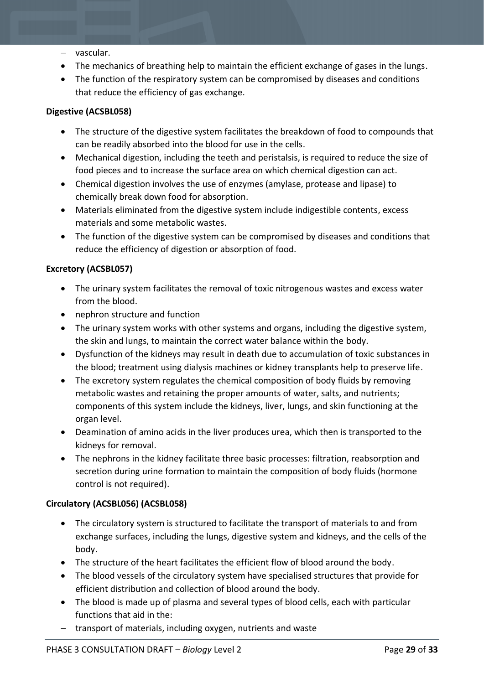- − vascular.
- The mechanics of breathing help to maintain the efficient exchange of gases in the lungs.
- The function of the respiratory system can be compromised by diseases and conditions that reduce the efficiency of gas exchange.

# **Digestive (ACSBL058)**

- The structure of the digestive system facilitates the breakdown of food to compounds that can be readily absorbed into the blood for use in the cells.
- Mechanical digestion, including the teeth and peristalsis, is required to reduce the size of food pieces and to increase the surface area on which chemical digestion can act.
- Chemical digestion involves the use of enzymes (amylase, protease and lipase) to chemically break down food for absorption.
- Materials eliminated from the digestive system include indigestible contents, excess materials and some metabolic wastes.
- The function of the digestive system can be compromised by diseases and conditions that reduce the efficiency of digestion or absorption of food.

# **Excretory (ACSBL057)**

- The urinary system facilitates the removal of toxic nitrogenous wastes and excess water from the blood.
- nephron structure and function
- The urinary system works with other systems and organs, including the digestive system, the skin and lungs, to maintain the correct water balance within the body.
- Dysfunction of the kidneys may result in death due to accumulation of toxic substances in the blood; treatment using dialysis machines or kidney transplants help to preserve life.
- [The excretory system](http://www.emc.maricopa.edu/faculty/farabee/biobk/BioBookglossE.html#excretory system) regulates the chemical composition of body fluids by removing metabolic wastes and retaining the proper amounts of water, salts, and nutrients; components of this system include the kidneys, liver, lungs, and skin functioning at the organ level.
- Deamination of amino acids in the liver produces urea, which then is transported to the kidneys for removal.
- The nephrons in the kidney facilitate three basic processes: filtration, reabsorption and secretion during urine formation to maintain the composition of body fluids (hormone control is not required).

# **Circulatory (ACSBL056) (ACSBL058)**

- The circulatory system is structured to facilitate the transport of materials to and from exchange surfaces, including the lungs, digestive system and kidneys, and the cells of the body.
- The structure of the heart facilitates the efficient flow of blood around the body.
- The blood vessels of the circulatory system have specialised structures that provide for efficient distribution and collection of blood around the body.
- The blood is made up of plasma and several types of blood cells, each with particular functions that aid in the:
- − transport of materials, including oxygen, nutrients and waste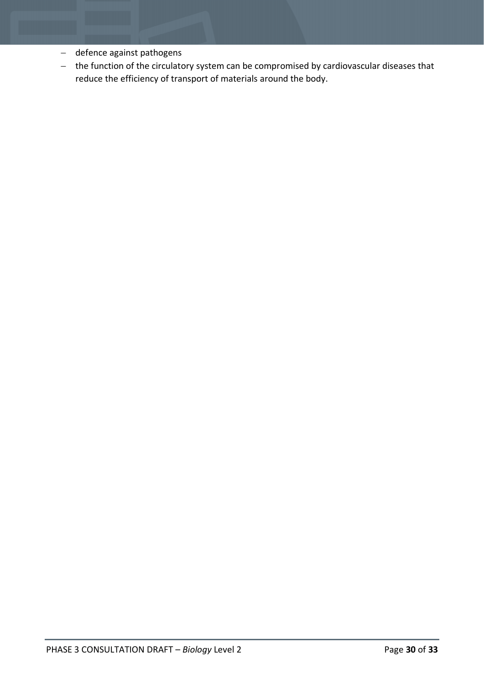- − defence against pathogens
- − the function of the circulatory system can be compromised by cardiovascular diseases that reduce the efficiency of transport of materials around the body.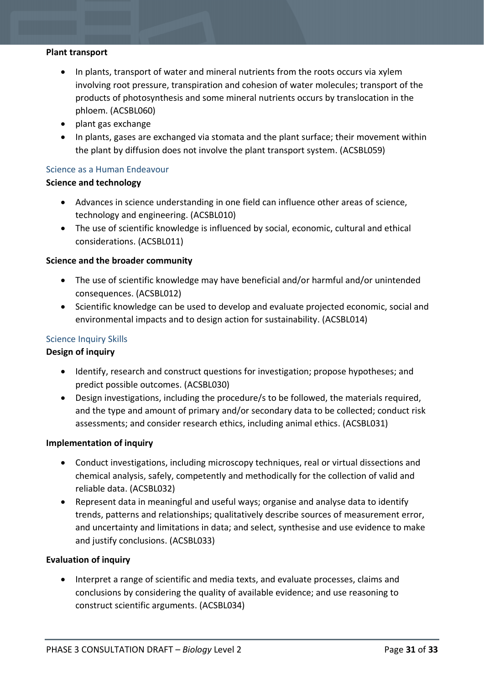#### **Plant transport**

- In plants, transport of water and mineral nutrients from the roots occurs via xylem involving root pressure, transpiration and cohesion of water molecules; transport of the products of photosynthesis and some mineral nutrients occurs by translocation in the phloem. (ACSBL060)
- plant gas exchange
- In plants, gases are exchanged via stomata and the plant surface; their movement within the plant by diffusion does not involve the plant transport system. (ACSBL059)

#### <span id="page-30-0"></span>Science as a Human Endeavour

#### **Science and technology**

- Advances in science understanding in one field can influence other areas of science, technology and engineering. (ACSBL010)
- The use of scientific knowledge is influenced by social, economic, cultural and ethical considerations. (ACSBL011)

#### **Science and the broader community**

- The use of scientific knowledge may have beneficial and/or harmful and/or unintended consequences. (ACSBL012)
- Scientific knowledge can be used to develop and evaluate projected economic, social and environmental impacts and to design action for sustainability. (ACSBL014)

#### <span id="page-30-1"></span>Science Inquiry Skills

#### **Design of inquiry**

- Identify, research and construct questions for investigation; propose hypotheses; and predict possible outcomes. (ACSBL030)
- Design investigations, including the procedure/s to be followed, the materials required, and the type and amount of primary and/or secondary data to be collected; conduct risk assessments; and consider research ethics, including animal ethics. (ACSBL031)

#### **Implementation of inquiry**

- Conduct investigations, including microscopy techniques, real or virtual dissections and chemical analysis, safely, competently and methodically for the collection of valid and reliable data. (ACSBL032)
- Represent data in meaningful and useful ways; organise and analyse data to identify trends, patterns and relationships; qualitatively describe sources of measurement error, and uncertainty and limitations in data; and select, synthesise and use evidence to make and justify conclusions. (ACSBL033)

#### **Evaluation of inquiry**

• Interpret a range of scientific and media texts, and evaluate processes, claims and conclusions by considering the quality of available evidence; and use reasoning to construct scientific arguments. (ACSBL034)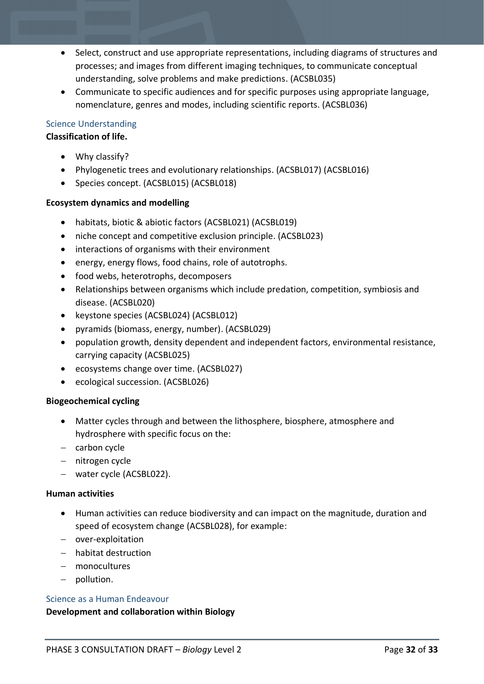- Select, construct and use appropriate representations, including diagrams of structures and processes; and images from different imaging techniques, to communicate conceptual understanding, solve problems and make predictions. (ACSBL035)
- Communicate to specific audiences and for specific purposes using appropriate language, nomenclature, genres and modes, including scientific reports. (ACSBL036)

## <span id="page-31-0"></span>Science Understanding

#### **Classification of life.**

- Why classify?
- Phylogenetic trees and evolutionary relationships. (ACSBL017) (ACSBL016)
- Species concept. (ACSBL015) (ACSBL018)

#### **Ecosystem dynamics and modelling**

- habitats, biotic & abiotic factors (ACSBL021) (ACSBL019)
- niche concept and competitive exclusion principle. (ACSBL023)
- interactions of organisms with their environment
- energy, energy flows, food chains, role of autotrophs.
- food webs, heterotrophs, decomposers
- Relationships between organisms which include predation, competition, symbiosis and disease. (ACSBL020)
- keystone species (ACSBL024) (ACSBL012)
- pyramids (biomass, energy, number). (ACSBL029)
- population growth, density dependent and independent factors, environmental resistance, carrying capacity (ACSBL025)
- ecosystems change over time. (ACSBL027)
- ecological succession. (ACSBL026)

#### **Biogeochemical cycling**

- Matter cycles through and between the lithosphere, biosphere, atmosphere and hydrosphere with specific focus on the:
- − carbon cycle
- − nitrogen cycle
- − water cycle (ACSBL022).

#### **Human activities**

- Human activities can reduce biodiversity and can impact on the magnitude, duration and speed of ecosystem change (ACSBL028), for example:
- − over-exploitation
- − habitat destruction
- − monocultures
- − pollution.

#### <span id="page-31-1"></span>Science as a Human Endeavour

#### **Development and collaboration within Biology**